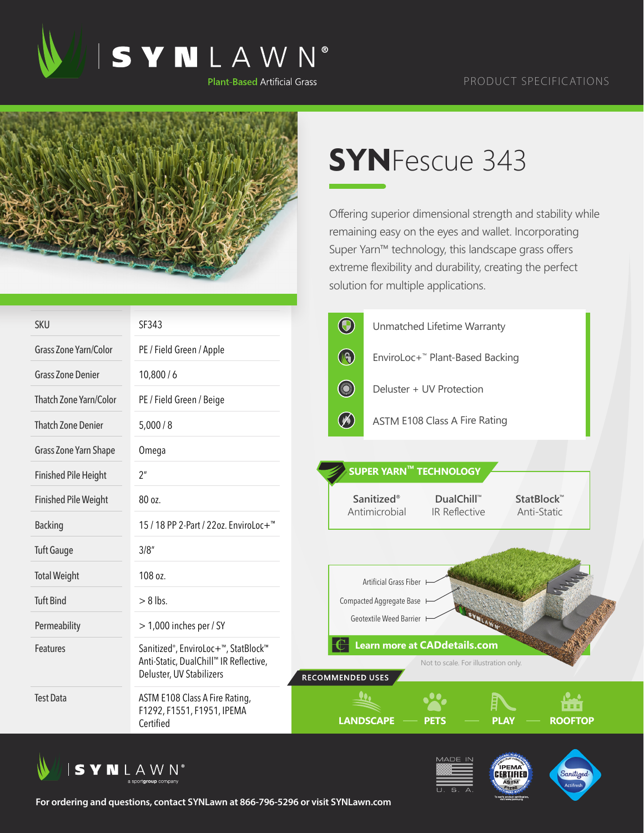

## PRODUCT SPECIFICATIONS



## **SYN**Fescue 343

Offering superior dimensional strength and stability while remaining easy on the eyes and wallet. Incorporating Super Yarn™ technology, this landscape grass offers extreme flexibility and durability, creating the perfect solution for multiple applications.

| <b>SKU</b>                   | SF343                                                                                                                               | $\bigcirc$<br>Unmatched Lifetime Warranty                                                                                |
|------------------------------|-------------------------------------------------------------------------------------------------------------------------------------|--------------------------------------------------------------------------------------------------------------------------|
| <b>Grass Zone Yarn/Color</b> | PE / Field Green / Apple                                                                                                            | $\bigcirc$<br>EnviroLoc+ <sup>™</sup> Plant-Based Backing                                                                |
| <b>Grass Zone Denier</b>     | 10,800/6                                                                                                                            |                                                                                                                          |
| Thatch Zone Yarn/Color       | PE / Field Green / Beige                                                                                                            | <b>South Avenue</b><br>Deluster + UV Protection                                                                          |
| <b>Thatch Zone Denier</b>    | 5,000/8                                                                                                                             | $\circledast$<br><b>ASTM E108 Class A Fire Rating</b>                                                                    |
| Grass Zone Yarn Shape        | Omega                                                                                                                               |                                                                                                                          |
| <b>Finished Pile Height</b>  | 2 <sup>n</sup>                                                                                                                      | <b>SUPER YARN™ TECHNOLOGY</b>                                                                                            |
| <b>Finished Pile Weight</b>  | 80 oz.                                                                                                                              | <b>Sanitized®</b><br><b>DualChill™</b><br>StatBlock <sup>™</sup><br>Antimicrobial<br><b>IR Reflective</b><br>Anti-Static |
| <b>Backing</b>               | 15 / 18 PP 2-Part / 22oz. EnviroLoc+ <sup>™</sup>                                                                                   |                                                                                                                          |
| <b>Tuft Gauge</b>            | 3/8''                                                                                                                               |                                                                                                                          |
| <b>Total Weight</b>          | 108 oz.                                                                                                                             | Artificial Grass Fiber                                                                                                   |
| <b>Tuft Bind</b>             | $> 8$ lbs.                                                                                                                          | Compacted Aggregate Base                                                                                                 |
| Permeability                 | $>$ 1,000 inches per / SY                                                                                                           | Geotextile Weed Barrier H                                                                                                |
| Features                     | Sanitized <sup>®</sup> , EnviroLoc+ <sup>™</sup> , StatBlock™<br>Anti-Static, DualChill™ IR Reflective,<br>Deluster, UV Stabilizers | <b>Learn more at CADdetails.com</b><br>Not to scale. For illustration only.<br><b>RECOMMENDED USES</b>                   |
| <b>Test Data</b>             | ASTM E108 Class A Fire Rating,<br>F1292, F1551, F1951, IPEMA<br>Certified                                                           | <b>Period</b><br>自由性<br><b>LANDSCAPE</b><br><b>ROOFTOP</b><br><b>PETS</b><br><b>PLAY</b>                                 |





**For ordering and questions, contact SYNLawn at 866-796-5296 or visit SYNLawn.com**